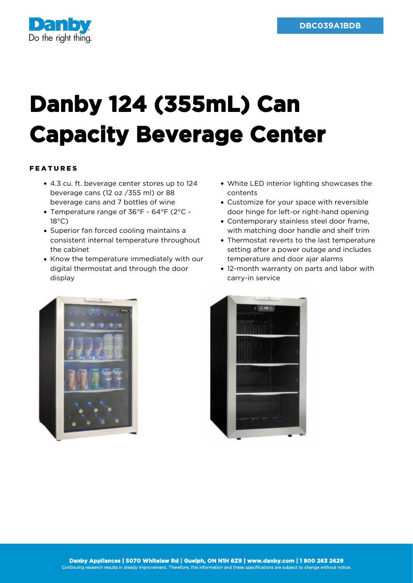

## **Danby 124 (355mL) Can Capacity Beverage Center**

## FEATURES

- 4.3 cu. ft. beverage center stores up to 124 beverage cans (12 oz /355 ml) or 88 beverage cans and 7 bottles of wine
- Temperature range of 36°F 64°F (2°C 18°C)
- Superior fan forced cooling maintains a consistent internal temperature throughout the cabinet
- Know the temperature immediately with our digital thermostat and through the door display
- White LED interior lighting showcases the contents
- Customize for your space with reversible door hinge for left-or right-hand opening
- Contemporary stainless steel door frame, with matching door handle and shelf trim
- Thermostat reverts to the last temperature setting after a power outage and includes temperature and door ajar alarms
- 12-month warranty on parts and labor with carry-in service